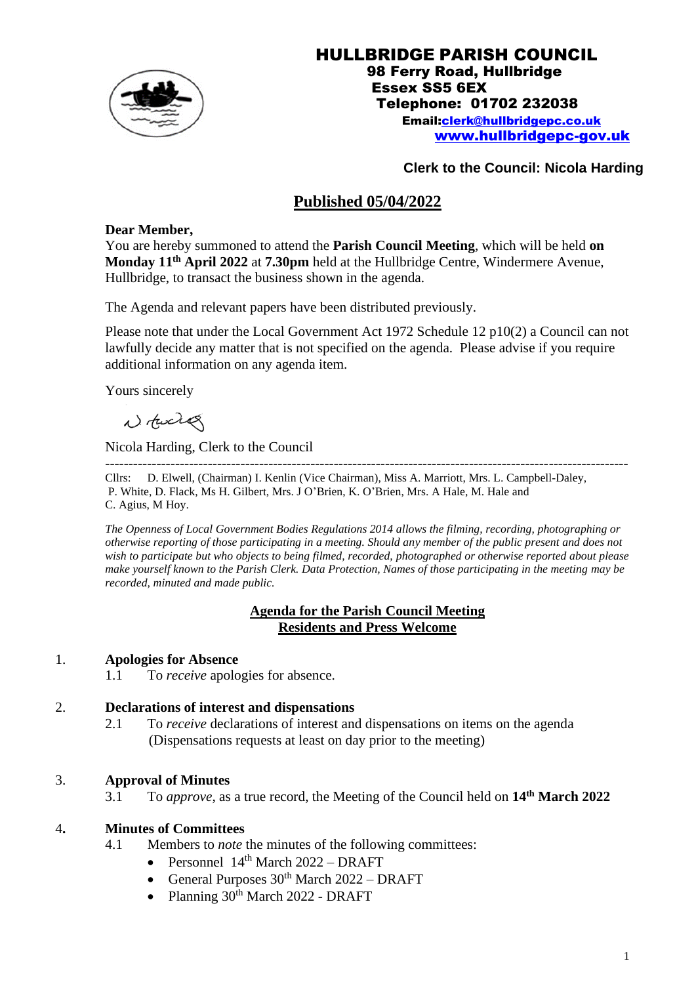

### HULLBRIDGE PARISH COUNCIL 98 Ferry Road, Hullbridge Essex SS5 6EX Telephone: 01702 232038 Email[:clerk@hullbridgepc.co.uk](mailto:clerk@hullbridgepc.co.uk)  [www.hullbridgepc-gov.uk](http://www.hullbridgepc-gov.uk/)

# **Clerk to the Council: Nicola Harding**

# **Published 05/04/2022**

## **Dear Member,**

You are hereby summoned to attend the **Parish Council Meeting**, which will be held **on Monday 11 th April 2022** at **7.30pm** held at the Hullbridge Centre, Windermere Avenue, Hullbridge, to transact the business shown in the agenda.

The Agenda and relevant papers have been distributed previously.

Please note that under the Local Government Act 1972 Schedule 12 p10(2) a Council can not lawfully decide any matter that is not specified on the agenda. Please advise if you require additional information on any agenda item.

Yours sincerely

Notward

Nicola Harding, Clerk to the Council

---------------------------------------------------------------------------------------------------------------- Cllrs: D. Elwell, (Chairman) I. Kenlin (Vice Chairman), Miss A. Marriott, Mrs. L. Campbell-Daley, P. White, D. Flack, Ms H. Gilbert, Mrs. J O'Brien, K. O'Brien, Mrs. A Hale, M. Hale and C. Agius, M Hoy.

*The Openness of Local Government Bodies Regulations 2014 allows the filming, recording, photographing or otherwise reporting of those participating in a meeting. Should any member of the public present and does not wish to participate but who objects to being filmed, recorded, photographed or otherwise reported about please make yourself known to the Parish Clerk. Data Protection, Names of those participating in the meeting may be recorded, minuted and made public.*

### **Agenda for the Parish Council Meeting Residents and Press Welcome**

## 1. **Apologies for Absence**

1.1 To *receive* apologies for absence.

## 2. **Declarations of interest and dispensations**

2.1 To *receive* declarations of interest and dispensations on items on the agenda (Dispensations requests at least on day prior to the meeting)

## 3. **Approval of Minutes**

3.1 To *approve*, as a true record, the Meeting of the Council held on **14 th March 2022**

## 4**. Minutes of Committees**

- 4.1 Members to *note* the minutes of the following committees:
	- Personnel 14<sup>th</sup> March 2022 DRAFT
	- General Purposes  $30<sup>th</sup>$  March  $2022 DRAFT$
	- Planning 30<sup>th</sup> March 2022 DRAFT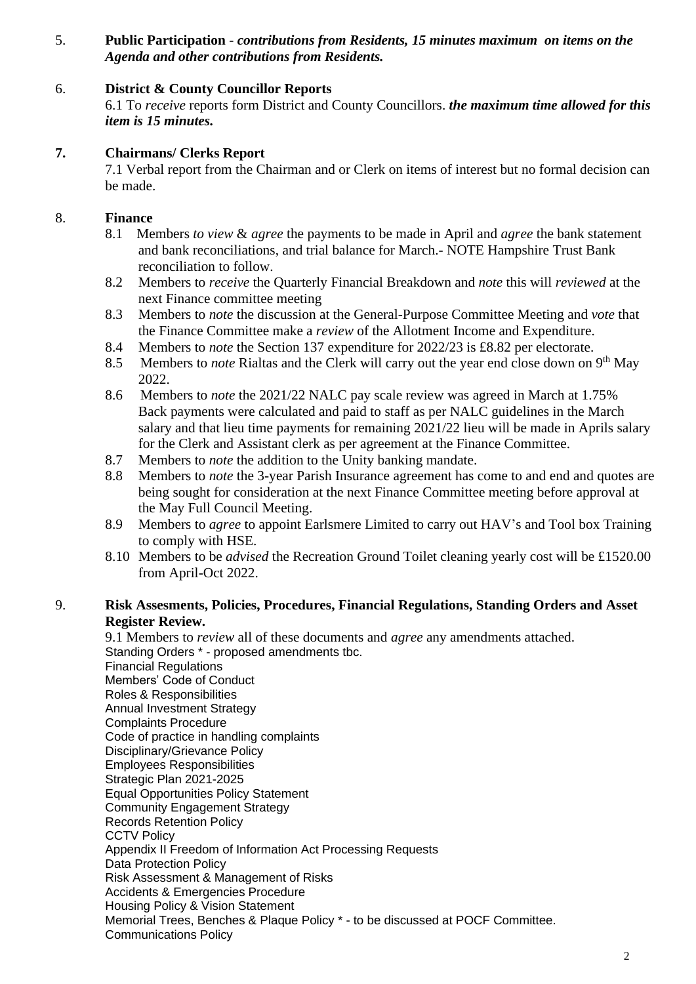5. **Public Participation** - *contributions from Residents, 15 minutes maximum on items on the Agenda and other contributions from Residents.*

# 6. **District & County Councillor Reports**

6.1 To *receive* reports form District and County Councillors. *the maximum time allowed for this item is 15 minutes.*

# **7. Chairmans/ Clerks Report**

7.1 Verbal report from the Chairman and or Clerk on items of interest but no formal decision can be made.

# 8. **Finance**

- 8.1 Members *to view* & *agree* the payments to be made in April and *agree* the bank statement and bank reconciliations, and trial balance for March.- NOTE Hampshire Trust Bank reconciliation to follow.
- 8.2 Members to *receive* the Quarterly Financial Breakdown and *note* this will *reviewed* at the next Finance committee meeting
- 8.3 Members to *note* the discussion at the General-Purpose Committee Meeting and *vote* that the Finance Committee make a *review* of the Allotment Income and Expenditure.
- 8.4 Members to *note* the Section 137 expenditure for 2022/23 is £8.82 per electorate.
- 8.5 Members to *note* Rialtas and the Clerk will carry out the year end close down on 9<sup>th</sup> May 2022.
- 8.6 Members to *note* the 2021/22 NALC pay scale review was agreed in March at 1.75% Back payments were calculated and paid to staff as per NALC guidelines in the March salary and that lieu time payments for remaining 2021/22 lieu will be made in Aprils salary for the Clerk and Assistant clerk as per agreement at the Finance Committee.
- 8.7 Members to *note* the addition to the Unity banking mandate.
- 8.8 Members to *note* the 3-year Parish Insurance agreement has come to and end and quotes are being sought for consideration at the next Finance Committee meeting before approval at the May Full Council Meeting.
- 8.9 Members to *agree* to appoint Earlsmere Limited to carry out HAV's and Tool box Training to comply with HSE.
- 8.10 Members to be *advised* the Recreation Ground Toilet cleaning yearly cost will be £1520.00 from April-Oct 2022.

## 9. **Risk Assesments, Policies, Procedures, Financial Regulations, Standing Orders and Asset Register Review.**

9.1 Members to *review* all of these documents and *agree* any amendments attached. Standing Orders \* - proposed amendments tbc. Financial Regulations Members' Code of Conduct Roles & Responsibilities Annual Investment Strategy Complaints Procedure Code of practice in handling complaints Disciplinary/Grievance Policy Employees Responsibilities Strategic Plan 2021-2025 Equal Opportunities Policy Statement Community Engagement Strategy Records Retention Policy **CCTV Policy** Appendix II Freedom of Information Act Processing Requests Data Protection Policy Risk Assessment & Management of Risks Accidents & Emergencies Procedure Housing Policy & Vision Statement Memorial Trees, Benches & Plaque Policy \* - to be discussed at POCF Committee. Communications Policy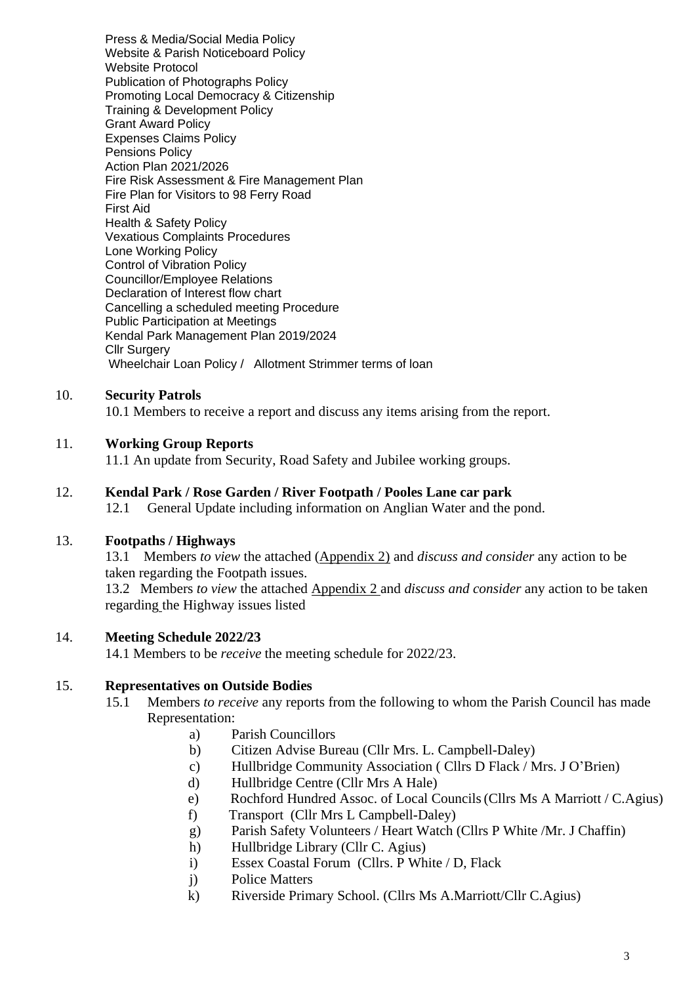Press & Media/Social Media Policy Website & Parish Noticeboard Policy Website Protocol Publication of Photographs Policy Promoting Local Democracy & Citizenship Training & Development Policy Grant Award Policy Expenses Claims Policy Pensions Policy Action Plan 2021/2026 Fire Risk Assessment & Fire Management Plan Fire Plan for Visitors to 98 Ferry Road First Aid Health & Safety Policy Vexatious Complaints Procedures Lone Working Policy Control of Vibration Policy Councillor/Employee Relations Declaration of Interest flow chart Cancelling a scheduled meeting Procedure Public Participation at Meetings Kendal Park Management Plan 2019/2024 Cllr Surgery Wheelchair Loan Policy / Allotment Strimmer terms of loan

### 10. **Security Patrols**

10.1 Members to receive a report and discuss any items arising from the report.

#### 11. **Working Group Reports**

11.1 An update from Security, Road Safety and Jubilee working groups.

#### 12. **Kendal Park / Rose Garden / River Footpath / Pooles Lane car park**

12.1 General Update including information on Anglian Water and the pond.

#### 13. **Footpaths / Highways**

13.1 Members *to view* the attached (Appendix 2) and *discuss and consider* any action to be taken regarding the Footpath issues. 13.2 Members *to view* the attached Appendix 2 and *discuss and consider* any action to be taken regarding the Highway issues listed

#### 14. **Meeting Schedule 2022/23**

14.1 Members to be *receive* the meeting schedule for 2022/23.

#### 15. **Representatives on Outside Bodies**

- 15.1 Members *to receive* any reports from the following to whom the Parish Council has made Representation:
	- a) Parish Councillors
	- b) Citizen Advise Bureau (Cllr Mrs. L. Campbell-Daley)
	- c) Hullbridge Community Association ( Cllrs D Flack / Mrs. J O'Brien)
	- d) Hullbridge Centre (Cllr Mrs A Hale)
	- e) Rochford Hundred Assoc. of Local Councils(Cllrs Ms A Marriott / C.Agius)
	- f) Transport (Cllr Mrs L Campbell-Daley)
	- g) Parish Safety Volunteers / Heart Watch (Cllrs P White /Mr. J Chaffin)
	- h) Hullbridge Library (Cllr C. Agius)
	- i) Essex Coastal Forum (Cllrs. P White / D, Flack
	- j) Police Matters
	- k) Riverside Primary School. (Cllrs Ms A.Marriott/Cllr C.Agius)